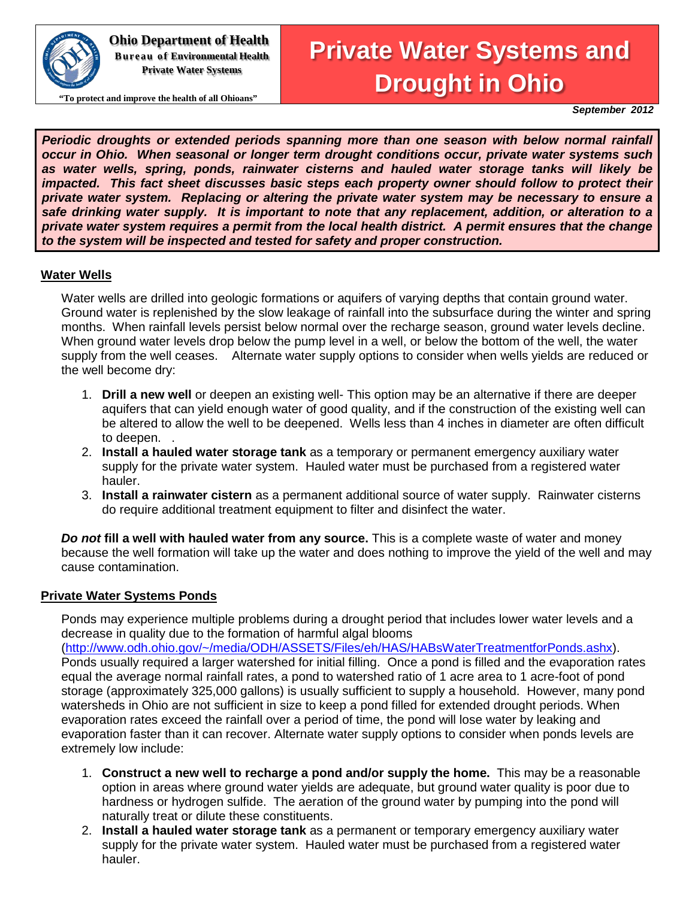

**Ohio Department of Health Bureau of Environmental Health Private Water Systems**

**"To protect and improve the health of all Ohioans"**

# **Private Water Systems and Drought in Ohio**

*September 2012*

*Periodic droughts or extended periods spanning more than one season with below normal rainfall occur in Ohio. When seasonal or longer term drought conditions occur, private water systems such as water wells, spring, ponds, rainwater cisterns and hauled water storage tanks will likely be impacted. This fact sheet discusses basic steps each property owner should follow to protect their private water system. Replacing or altering the private water system may be necessary to ensure a safe drinking water supply. It is important to note that any replacement, addition, or alteration to a private water system requires a permit from the local health district. A permit ensures that the change to the system will be inspected and tested for safety and proper construction.*

#### **Water Wells**

Water wells are drilled into geologic formations or aquifers of varying depths that contain ground water. Ground water is replenished by the slow leakage of rainfall into the subsurface during the winter and spring months. When rainfall levels persist below normal over the recharge season, ground water levels decline. When ground water levels drop below the pump level in a well, or below the bottom of the well, the water supply from the well ceases. Alternate water supply options to consider when wells yields are reduced or the well become dry:

- 1. **Drill a new well** or deepen an existing well- This option may be an alternative if there are deeper aquifers that can yield enough water of good quality, and if the construction of the existing well can be altered to allow the well to be deepened. Wells less than 4 inches in diameter are often difficult to deepen. .
- 2. **Install a hauled water storage tank** as a temporary or permanent emergency auxiliary water supply for the private water system. Hauled water must be purchased from a registered water hauler.
- 3. **Install a rainwater cistern** as a permanent additional source of water supply. Rainwater cisterns do require additional treatment equipment to filter and disinfect the water.

*Do not* **fill a well with hauled water from any source.** This is a complete waste of water and money because the well formation will take up the water and does nothing to improve the yield of the well and may cause contamination.

#### **Private Water Systems Ponds**

Ponds may experience multiple problems during a drought period that includes lower water levels and a decrease in quality due to the formation of harmful algal blooms [\(http://www.odh.ohio.gov/~/media/ODH/ASSETS/Files/eh/HAS/HABsWaterTreatmentforPonds.ashx\)](http://www.odh.ohio.gov/~/media/ODH/ASSETS/Files/eh/HAS/HABsWaterTreatmentforPonds.ashx). Ponds usually required a larger watershed for initial filling. Once a pond is filled and the evaporation rates equal the average normal rainfall rates, a pond to watershed ratio of 1 acre area to 1 acre-foot of pond storage (approximately 325,000 gallons) is usually sufficient to supply a household. However, many pond watersheds in Ohio are not sufficient in size to keep a pond filled for extended drought periods. When

evaporation rates exceed the rainfall over a period of time, the pond will lose water by leaking and evaporation faster than it can recover. Alternate water supply options to consider when ponds levels are extremely low include:

- 1. **Construct a new well to recharge a pond and/or supply the home.** This may be a reasonable option in areas where ground water yields are adequate, but ground water quality is poor due to hardness or hydrogen sulfide. The aeration of the ground water by pumping into the pond will naturally treat or dilute these constituents.
- 2. **Install a hauled water storage tank** as a permanent or temporary emergency auxiliary water supply for the private water system. Hauled water must be purchased from a registered water hauler.